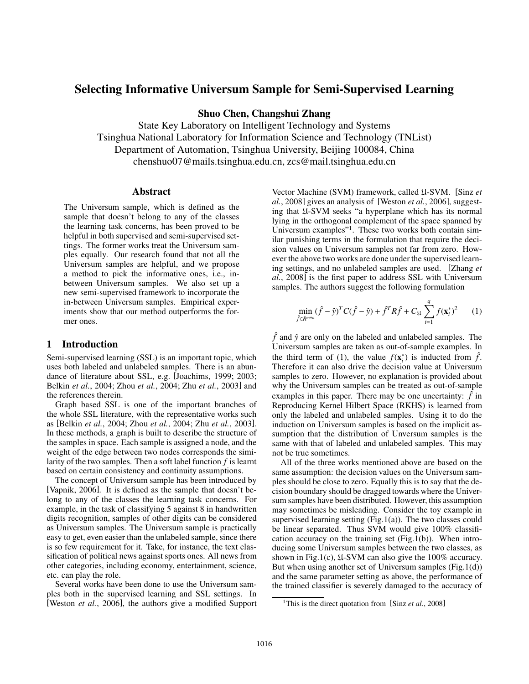# Selecting Informative Universum Sample for Semi-Supervised Learning

Shuo Chen, Changshui Zhang

State Key Laboratory on Intelligent Technology and Systems Tsinghua National Laboratory for Information Science and Technology (TNList) Department of Automation, Tsinghua University, Beijing 100084, China chenshuo07@mails.tsinghua.edu.cn, zcs@mail.tsinghua.edu.cn

## **Abstract**

The Universum sample, which is defined as the sample that doesn't belong to any of the classes the learning task concerns, has been proved to be helpful in both supervised and semi-supervised settings. The former works treat the Universum samples equally. Our research found that not all the Universum samples are helpful, and we propose a method to pick the informative ones, i.e., inbetween Universum samples. We also set up a new semi-supervised framework to incorporate the in-between Universum samples. Empirical experiments show that our method outperforms the former ones.

## 1 Introduction

Semi-supervised learning (SSL) is an important topic, which uses both labeled and unlabeled samples. There is an abundance of literature about SSL, e.g. [Joachims, 1999; 2003; Belkin *et al.*, 2004; Zhou *et al.*, 2004; Zhu *et al.*, 2003] and the references therein.

Graph based SSL is one of the important branches of the whole SSL literature, with the representative works such as [Belkin *et al.*, 2004; Zhou *et al.*, 2004; Zhu *et al.*, 2003]. In these methods, a graph is built to describe the structure of the samples in space. Each sample is assigned a node, and the weight of the edge between two nodes corresponds the similarity of the two samples. Then a soft label function *f* is learnt based on certain consistency and continuity assumptions.

The concept of Universum sample has been introduced by [Vapnik, 2006]. It is defined as the sample that doesn't belong to any of the classes the learning task concerns. For example, in the task of classifying 5 against 8 in handwritten digits recognition, samples of other digits can be considered as Universum samples. The Universum sample is practically easy to get, even easier than the unlabeled sample, since there is so few requirement for it. Take, for instance, the text classification of political news against sports ones. All news from other categories, including economy, entertainment, science, etc. can play the role.

Several works have been done to use the Universum samples both in the supervised learning and SSL settings. In [Weston *et al.*, 2006], the authors give a modified Support Vector Machine (SVM) framework, called U-SVM. [Sinz *et al.*, 2008] gives an analysis of [Weston *et al.*, 2006], suggesting that U-SVM seeks "a hyperplane which has its normal lying in the orthogonal complement of the space spanned by Universum examples"1. These two works both contain similar punishing terms in the formulation that require the decision values on Universum samples not far from zero. However the above two works are done under the supervised learning settings, and no unlabeled samples are used. [Zhang *et al.*, 2008] is the first paper to address SSL with Universum samples. The authors suggest the following formulation

$$
\min_{\hat{f} \in R^{m+n}} (\hat{f} - \hat{y})^T C(\hat{f} - \hat{y}) + \hat{f}^T R \hat{f} + C_{\mathfrak{U}} \sum_{i=1}^q f(\mathbf{x}_i^*)^2 \qquad (1)
$$

 $\hat{f}$  and  $\hat{y}$  are only on the labeled and unlabeled samples. The Universum samples are taken as out-of-sample examples. In the third term of (1), the value  $f(\mathbf{x}_i^*)$  is inducted from  $\hat{f}$ . Therefore it can also drive the decision value at Universum samples to zero. However, no explanation is provided about why the Universum samples can be treated as out-of-sample examples in this paper. There may be one uncertainty:  $\hat{f}$  in Reproducing Kernel Hilbert Space (RKHS) is learned from only the labeled and unlabeled samples. Using it to do the induction on Universum samples is based on the implicit assumption that the distribution of Unversum samples is the same with that of labeled and unlabeled samples. This may not be true sometimes.

All of the three works mentioned above are based on the same assumption: the decision values on the Universum samples should be close to zero. Equally this is to say that the decision boundary should be dragged towards where the Universum samples have been distributed. However, this assumption may sometimes be misleading. Consider the toy example in supervised learning setting  $(Fig.1(a))$ . The two classes could be linear separated. Thus SVM would give 100% classification accuracy on the training set (Fig.1(b)). When introducing some Universum samples between the two classes, as shown in Fig.1(c),  $\text{\textsterling}4\text{-SVM}$  can also give the 100% accuracy. But when using another set of Universum samples (Fig.1(d)) and the same parameter setting as above, the performance of the trained classifier is severely damaged to the accuracy of

<sup>&</sup>lt;sup>1</sup>This is the direct quotation from [Sinz *et al.*, 2008]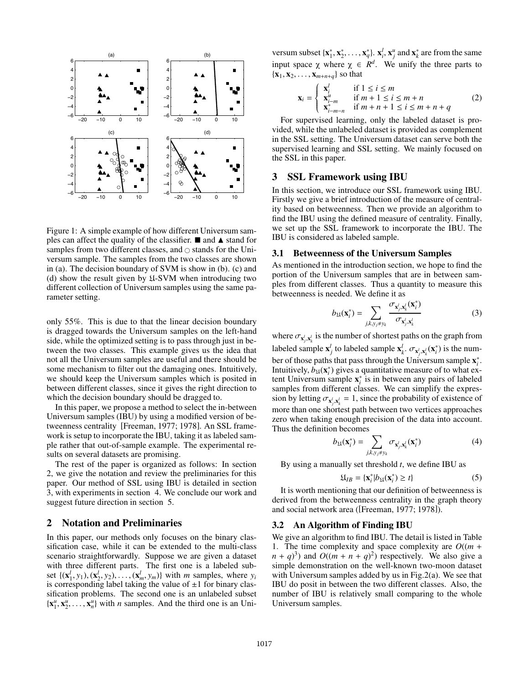

Figure 1: A simple example of how different Universum samples can affect the quality of the classifier.  $\blacksquare$  and  $\blacktriangle$  stand for samples from two different classes, and  $\circ$  stands for the Universum sample. The samples from the two classes are shown in (a). The decision boundary of SVM is show in (b). (c) and (d) show the result given by U-SVM when introducing two different collection of Universum samples using the same parameter setting.

only 55%. This is due to that the linear decision boundary is dragged towards the Universum samples on the left-hand side, while the optimized setting is to pass through just in between the two classes. This example gives us the idea that not all the Universum samples are useful and there should be some mechanism to filter out the damaging ones. Intuitively, we should keep the Universum samples which is posited in between different classes, since it gives the right direction to which the decision boundary should be dragged to.

In this paper, we propose a method to select the in-between Universum samples (IBU) by using a modified version of betweenness centrality [Freeman, 1977; 1978]. An SSL framework is setup to incorporate the IBU, taking it as labeled sample rather that out-of-sample example. The experimental results on several datasets are promising.

The rest of the paper is organized as follows: In section 2, we give the notation and review the preliminaries for this paper. Our method of SSL using IBU is detailed in section 3, with experiments in section 4. We conclude our work and suggest future direction in section 5.

## 2 Notation and Preliminaries

In this paper, our methods only focuses on the binary classification case, while it can be extended to the multi-class scenario straightforwardly. Suppose we are given a dataset with three different parts. The first one is a labeled subset  $\{(\mathbf{x}_1^l, y_1), (\mathbf{x}_2^l, y_2), \ldots, (\mathbf{x}_m^l, y_m)\}\$  with *m* samples, where  $y_i$ is corresponding label taking the value of  $\pm 1$  for binary classification problems. The second one is an unlabeled subset  ${x_1^u, x_2^u, \ldots, x_n^u}$  with *n* samples. And the third one is an Uni-

versum subset  $\{x_1^*, x_2^*, \ldots, x_q^*\}$ .  $x_i^l$ ,  $x_j^u$  and  $x_k^*$  are from the same input space  $\chi$  where  $\chi \in \mathbb{R}^d$ . We unify the three parts to  ${x_1, x_2,..., x_{m+n+q}}$  so that

$$
\mathbf{x}_{i} = \begin{cases} \mathbf{x}_{i}^{l} & \text{if } 1 \leq i \leq m \\ \mathbf{x}_{i-m}^{u} & \text{if } m+1 \leq i \leq m+n \\ \mathbf{x}_{i-m-n}^{*} & \text{if } m+n+1 \leq i \leq m+n+q \end{cases}
$$
 (2)

For supervised learning, only the labeled dataset is provided, while the unlabeled dataset is provided as complement in the SSL setting. The Universum dataset can serve both the supervised learning and SSL setting. We mainly focused on the SSL in this paper.

## 3 SSL Framework using IBU

In this section, we introduce our SSL framework using IBU. Firstly we give a brief introduction of the measure of centrality based on betweenness. Then we provide an algorithm to find the IBU using the defined measure of centrality. Finally, we set up the SSL framework to incorporate the IBU. The IBU is considered as labeled sample.

#### 3.1 Betweenness of the Universum Samples

As mentioned in the introduction section, we hope to find the portion of the Universum samples that are in between samples from different classes. Thus a quantity to measure this betweenness is needed. We define it as

$$
b_{\mathfrak{U}}(\mathbf{x}_{i}^{*}) = \sum_{j,k,y_{j} \neq y_{k}} \frac{\sigma_{\mathbf{x}_{j}^{j}, \mathbf{x}_{k}^{j}}(\mathbf{x}_{i}^{*})}{\sigma_{\mathbf{x}_{j}^{j}, \mathbf{x}_{k}^{j}}}
$$
(3)

where  $\sigma_{\mathbf{x}_j',\mathbf{x}_k'}$  is the number of shortest paths on the graph from labeled sample  $\mathbf{x}_j^l$  to labeled sample  $\mathbf{x}_k^l$ .  $\sigma_{\mathbf{x}_j^l, \mathbf{x}_k^l}(\mathbf{x}_i^*)$  is the number of those paths that pass through the Universum sample  $\mathbf{x}_i^*$ . Intuitively,  $\vec{b}_{\mathfrak{U}}(\mathbf{x}_i^*)$  gives a quantitative measure of to what extent Universum sample  $\mathbf{x}_i^*$  is in between any pairs of labeled samples from different classes. We can simplify the expression by letting  $\sigma_{\mathbf{x}_i^j, \mathbf{x}_k^j} = 1$ , since the probability of existence of more than one shortest path between two vertices approaches zero when taking enough precision of the data into account. Thus the definition becomes

$$
b_{\mathfrak{U}}(\mathbf{x}_i^*) = \sum_{j,k,y_j \neq y_k} \sigma_{\mathbf{x}_j',\mathbf{x}_k'}(\mathbf{x}_i^*)
$$
(4)

By using a manually set threshold *t*, we define IBU as

$$
\mathfrak{U}_{IB} = \{ \mathbf{x}_i^* | b_{\mathfrak{U}}(\mathbf{x}_i^*) \ge t \} \tag{5}
$$

It is worth mentioning that our definition of betweenness is derived from the betweenness centrality in the graph theory and social network area ([Freeman, 1977; 1978]).

#### 3.2 An Algorithm of Finding IBU

We give an algorithm to find IBU. The detail is listed in Table 1. The time complexity and space complexity are  $O((m +$  $(n + q)^3$ ) and  $O((m + n + q)^2)$  respectively. We also give a simple demonstration on the well-known two-moon dataset with Universum samples added by us in Fig.2(a). We see that IBU do posit in between the two different classes. Also, the number of IBU is relatively small comparing to the whole Universum samples.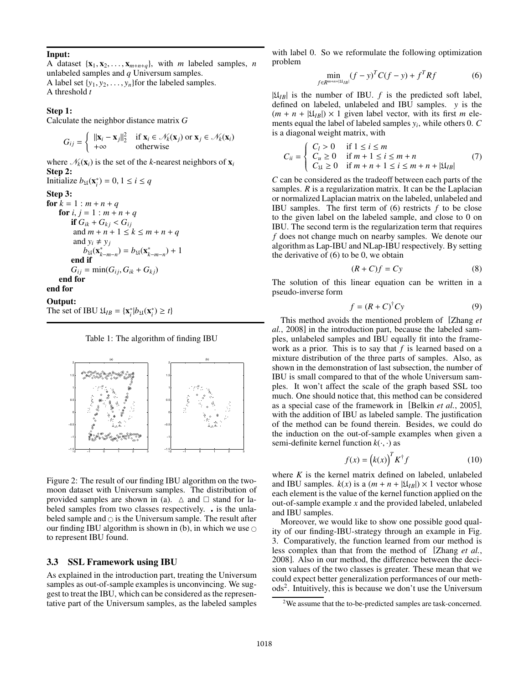#### Input:

A dataset  $\{x_1, x_2, \ldots, x_{m+n+q}\}$ , with *m* labeled samples, *n* unlabeled samples and *q* Universum samples.

A label set  $\{y_1, y_2, \ldots, y_n\}$  for the labeled samples. A threshold *t*

#### Step 1:

Calculate the neighbor distance matrix *G*

$$
G_{ij} = \begin{cases} ||\mathbf{x}_i - \mathbf{x}_j||_2^2 & \text{if } \mathbf{x}_i \in \mathcal{N}_k(\mathbf{x}_j) \text{ or } \mathbf{x}_j \in \mathcal{N}_k(\mathbf{x}_i) \\ +\infty & \text{otherwise} \end{cases}
$$

where  $\mathcal{N}_k(\mathbf{x}_i)$  is the set of the *k*-nearest neighbors of  $\mathbf{x}_i$ Step 2:

Initialize  $b_{\mathfrak{U}}(\mathbf{x}_{i}^{*}) = 0, 1 \leq i \leq q$ Step 3: for  $k = 1$  :  $m + n + q$ for  $i, j = 1 : m + n + q$ **if**  $G_{ik} + G_{kj} < G_{ij}$ and  $m + n + 1 \le k \le m + n + q$ and  $y_i \neq y_j$  $b_{\mathfrak{U}}(\mathbf{x}_{k-m-n}^*) = b_{\mathfrak{U}}(\mathbf{x}_{k-m-n}^*) + 1$ end if  $G_{ij} = \min(G_{ij}, G_{ik} + G_{kj})$ end for end for

## Output:

The set of IBU  $\mathfrak{U}_{IB} = {\mathbf{x}_i^* | b_{\mathfrak{U}}(\mathbf{x}_i^*) \geq t}$ 





Figure 2: The result of our finding IBU algorithm on the twomoon dataset with Universum samples. The distribution of provided samples are shown in (a).  $\triangle$  and  $\square$  stand for labeled samples from two classes respectively. . is the unlabeled sample and  $\circ$  is the Universum sample. The result after our finding IBU algorithm is shown in (b), in which we use  $\circ$ to represent IBU found.

## 3.3 SSL Framework using IBU

As explained in the introduction part, treating the Universum samples as out-of-sample examples is unconvincing. We suggest to treat the IBU, which can be considered as the representative part of the Universum samples, as the labeled samples with label 0. So we reformulate the following optimization problem

$$
\min_{f \in R^{m+n+|S|} |B|} (f - y)^T C (f - y) + f^T R f \tag{6}
$$

 $|\mathfrak{U}_{IB}|$  is the number of IBU. *f* is the predicted soft label, defined on labeled, unlabeled and IBU samples. *y* is the  $(m + n + |\mathfrak{U}_{IB}|) \times 1$  given label vector, with its first *m* elements equal the label of labeled samples *yi*, while others 0. *C* is a diagonal weight matrix, with

$$
C_{ii} = \begin{cases} C_l > 0 & \text{if } 1 \le i \le m \\ C_u \ge 0 & \text{if } m+1 \le i \le m+n \\ C_{\mathfrak{U}} \ge 0 & \text{if } m+n+1 \le i \le m+n+|\mathfrak{U}_{IB}| \end{cases} (7)
$$

*C* can be considered as the tradeoff between each parts of the samples. *R* is a regularization matrix. It can be the Laplacian or normalized Laplacian matrix on the labeled, unlabeled and IBU samples. The first term of  $(6)$  restricts  $f$  to be close to the given label on the labeled sample, and close to 0 on IBU. The second term is the regularization term that requires *f* does not change much on nearby samples. We denote our algorithm as Lap-IBU and NLap-IBU respectively. By setting the derivative of (6) to be 0, we obtain

$$
(R+C)f = Cy \tag{8}
$$

The solution of this linear equation can be written in a pseudo-inverse form

$$
f = (R + C)^{\dagger} Cy \tag{9}
$$

This method avoids the mentioned problem of [Zhang *et al.*, 2008] in the introduction part, because the labeled samples, unlabeled samples and IBU equally fit into the framework as a prior. This is to say that *f* is learned based on a mixture distribution of the three parts of samples. Also, as shown in the demonstration of last subsection, the number of IBU is small compared to that of the whole Universum samples. It won't affect the scale of the graph based SSL too much. One should notice that, this method can be considered as a special case of the framework in [Belkin *et al.*, 2005], with the addition of IBU as labeled sample. The justification of the method can be found therein. Besides, we could do the induction on the out-of-sample examples when given a semi-definite kernel function  $k(\cdot, \cdot)$  as

$$
f(x) = (k(x))^{T} K^{\dagger} f \tag{10}
$$

where *K* is the kernel matrix defined on labeled, unlabeled and IBU samples.  $k(x)$  is a  $(m + n + |\mathfrak{U}_{IB}|) \times 1$  vector whose each element is the value of the kernel function applied on the out-of-sample example *x* and the provided labeled, unlabeled and IBU samples.

Moreover, we would like to show one possible good quality of our finding-IBU-strategy through an example in Fig. 3. Comparatively, the function learned from our method is less complex than that from the method of [Zhang *et al.*, 2008]. Also in our method, the difference between the decision values of the two classes is greater. These mean that we could expect better generalization performances of our methods2. Intuitively, this is because we don't use the Universum

<sup>2</sup>We assume that the to-be-predicted samples are task-concerned.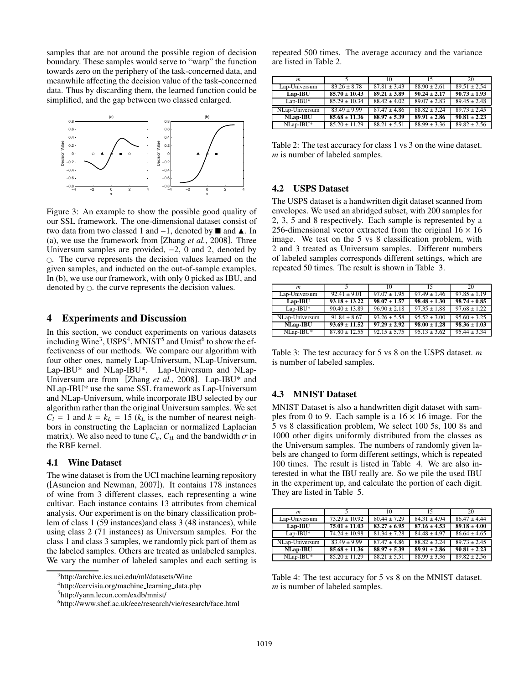samples that are not around the possible region of decision boundary. These samples would serve to "warp" the function towards zero on the periphery of the task-concerned data, and meanwhile affecting the decision value of the task-concerned data. Thus by discarding them, the learned function could be simplified, and the gap between two classed enlarged.



Figure 3: An example to show the possible good quality of our SSL framework. The one-dimensional dataset consist of two data from two classed 1 and -1, denoted by **■** and **A**. In (a), we use the framework from [Zhang *et al.*, 2008]. Three Universum samples are provided, −2, 0 and 2, denoted by . The curve represents the decision values learned on the given samples, and inducted on the out-of-sample examples. In (b), we use our framework, with only 0 picked as IBU, and denoted by  $\circ$ . the curve represents the decision values.

## 4 Experiments and Discussion

In this section, we conduct experiments on various datasets including Wine<sup>3</sup>, USPS<sup>4</sup>, MNIST<sup>5</sup> and Umist<sup>6</sup> to show the effectiveness of our methods. We compare our algorithm with four other ones, namely Lap-Universum, NLap-Universum, Lap-IBU\* and NLap-IBU\*. Lap-Universum and NLap-Universum are from [Zhang *et al.*, 2008]. Lap-IBU\* and NLap-IBU\* use the same SSL framework as Lap-Universum and NLap-Universum, while incorporate IBU selected by our algorithm rather than the original Universum samples. We set  $C_l = 1$  and  $k = k_l = 15$  ( $k_l$  is the number of nearest neighbors in constructing the Laplacian or normalized Laplacian matrix). We also need to tune  $C_u$ ,  $C_{\mathfrak{U}}$  and the bandwidth  $\sigma$  in the RBF kernel.

#### 4.1 Wine Dataset

The wine dataset is from the UCI machine learning repository ([Asuncion and Newman, 2007]). It contains 178 instances of wine from 3 different classes, each representing a wine cultivar. Each instance contains 13 attributes from chemical analysis. Our experiment is on the binary classification problem of class 1 (59 instances)and class 3 (48 instances), while using class 2 (71 instances) as Universum samples. For the class 1 and class 3 samples, we randomly pick part of them as the labeled samples. Others are treated as unlabeled samples. We vary the number of labeled samples and each setting is repeated 500 times. The average accuracy and the variance are listed in Table 2.

| m               |                   | 10               | 15               | 20               |
|-----------------|-------------------|------------------|------------------|------------------|
| Lap-Universum   | $83.26 \pm 8.78$  | $87.81 \pm 3.43$ | $88.90 \pm 2.61$ | $89.51 \pm 2.54$ |
| $Lap-IBU$       | $85.70 \pm 10.43$ | $89.21 \pm 3.89$ | $90.24 + 2.17$   | $90.73 \pm 1.93$ |
| $Lap-IBU^*$     | $85.29 \pm 10.34$ | $88.42 \pm 4.02$ | $89.07 \pm 2.83$ | $89.45 \pm 2.48$ |
| NLap-Universum  | $83.49 + 9.99$    | $87.47 + 4.86$   | $88.82 \pm 3.24$ | $89.73 + 2.45$   |
| <b>NLap-IBU</b> | $85.68 \pm 11.36$ | $88.97 \pm 5.39$ | $89.91 \pm 2.86$ | $90.81 \pm 2.23$ |
| NLap-IBU*       | $85.20 \pm 11.29$ | $88.21 + 5.51$   | $88.99 \pm 3.36$ | $89.82 \pm 2.56$ |

Table 2: The test accuracy for class 1 vs 3 on the wine dataset. *m* is number of labeled samples.

#### 4.2 USPS Dataset

The USPS dataset is a handwritten digit dataset scanned from envelopes. We used an abridged subset, with 200 samples for 2, 3, 5 and 8 respectively. Each sample is represented by a 256-dimensional vector extracted from the original  $16 \times 16$ image. We test on the 5 vs 8 classification problem, with 2 and 3 treated as Universum samples. Different numbers of labeled samples corresponds different settings, which are repeated 50 times. The result is shown in Table 3.

| m               |                   | 10               | 15               | 20               |
|-----------------|-------------------|------------------|------------------|------------------|
| Lap-Universum   | $92.41 \pm 9.01$  | $97.07 \pm 1.95$ | $97.49 \pm 1.46$ | $97.85 \pm 1.19$ |
| $Lap-IBU$       | $93.18 + 13.22$   | $98.07 + 1.57$   | $98.48 + 1.30$   | $98.74 + 0.85$   |
| $Lap-IBU^*$     | $90.40 \pm 13.89$ | $96.90 \pm 2.18$ | $97.35 \pm 1.88$ | $97.68 \pm 1.22$ |
| NLap-Universum  | $91.84 + 8.67$    | $93.26 + 5.58$   | $95.52 + 3.00$   | $95.60 + 3.25$   |
| <b>NLap-IBU</b> | $93.69 + 11.52$   | $97.29 + 2.92$   | $98.00 \pm 1.28$ | $98.36 \pm 1.03$ |
| NLap-IBU*       | $87.80 \pm 12.55$ | $92.15 + 5.75$   | $95.13 \pm 3.62$ | $95.44 + 3.34$   |

Table 3: The test accuracy for 5 vs 8 on the USPS dataset. *m* is number of labeled samples.

## 4.3 MNIST Dataset

MNIST Dataset is also a handwritten digit dataset with samples from 0 to 9. Each sample is a  $16 \times 16$  image. For the 5 vs 8 classification problem, We select 100 5s, 100 8s and 1000 other digits uniformly distributed from the classes as the Universum samples. The numbers of randomly given labels are changed to form different settings, which is repeated 100 times. The result is listed in Table 4. We are also interested in what the IBU really are. So we pile the used IBU in the experiment up, and calculate the portion of each digit. They are listed in Table 5.

| m               |                   | 10               | 15               | 20               |
|-----------------|-------------------|------------------|------------------|------------------|
| Lap-Universum   | $73.29 + 10.92$   | $80.44 + 7.29$   | $84.31 + 4.94$   | $86.47 + 4.44$   |
| $Lap-IBU$       | $75.01 + 11.03$   | $83.27 + 6.95$   | $87.16 + 4.53$   | $89.18 + 4.00$   |
| $Lap-IBU^*$     | $74.24 \pm 10.98$ | $81.34 \pm 7.28$ | $84.48 \pm 4.97$ | $86.64 + 4.65$   |
| NLap-Universum  | $83.49 \pm 9.99$  | $87.47 \pm 4.86$ | $88.82 + 3.24$   | $89.73 + 2.45$   |
| <b>NLap-IBU</b> | $85.68 + 11.36$   | $88.97 + 5.39$   | $89.91 + 2.86$   | $90.81 + 2.23$   |
| NLap-IBU*       | $85.20 \pm 11.29$ | $88.21 + 5.51$   | $88.99 \pm 3.36$ | $89.82 \pm 2.56$ |

Table 4: The test accuracy for 5 vs 8 on the MNIST dataset. *m* is number of labeled samples.

<sup>3</sup>http://archive.ics.uci.edu/ml/datasets/Wine

<sup>4</sup>http://cervisia.org/machine learning data.php

<sup>5</sup>http://yann.lecun.com/exdb/mnist/

<sup>6</sup>http://www.shef.ac.uk/eee/research/vie/research/face.html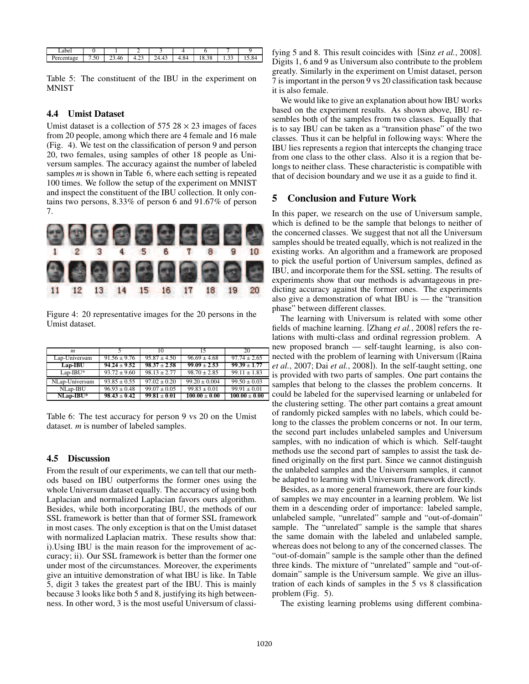| abei      |                                 |             |        |                                               |      |             |               |  |
|-----------|---------------------------------|-------------|--------|-----------------------------------------------|------|-------------|---------------|--|
| rcentage. | 50.<br>$\overline{ }$<br>$\sim$ | 4F<br>23.TU | ن شد.⊤ | $\overline{A}$<br>າ 4<br>$^{\prime}$<br>டா. ர | 4.84 | 38<br>10.20 | o o<br>ر ر. د |  |

Table 5: The constituent of the IBU in the experiment on **MNIST** 

#### 4.4 Umist Dataset

Umist dataset is a collection of  $575.28 \times 23$  images of faces from 20 people, among which there are 4 female and 16 male (Fig. 4). We test on the classification of person 9 and person 20, two females, using samples of other 18 people as Universum samples. The accuracy against the number of labeled samples *m* is shown in Table 6, where each setting is repeated 100 times. We follow the setup of the experiment on MNIST and inspect the constituent of the IBU collection. It only contains two persons, 8.33% of person 6 and 91.67% of person 7.



Figure 4: 20 representative images for the 20 persons in the Umist dataset.

| m              |                  | 10               | 15                | 20                |
|----------------|------------------|------------------|-------------------|-------------------|
| Lap-Universum  | $91.56 \pm 9.76$ | $95.87 \pm 4.50$ | $96.69 \pm 4.68$  | $97.74 \pm 2.65$  |
| $Lap-IBU$      | $94.24 + 9.52$   | $98.37 + 2.58$   | $99.09 + 2.53$    | $99.39 + 1.77$    |
| $Lap-IBU^*$    | $93.72 \pm 9.60$ | $98.13 \pm 2.77$ | $98.70 \pm 2.85$  | $99.11 \pm 1.83$  |
| NLap-Universum | $93.85 + 0.55$   | $97.02 + 0.20$   | $99.20 \pm 0.004$ | $99.50 \pm 0.03$  |
| NLap-IBU       | $96.93 \pm 0.48$ | $99.07 \pm 0.05$ | $99.83 \pm 0.01$  | $99.91 \pm 0.01$  |
| NLap-IBU*      | $98.43 \pm 0.42$ | $99.81 + 0.01$   | $100.00 \pm 0.00$ | $100.00 \pm 0.00$ |

Table 6: The test accuracy for person 9 vs 20 on the Umist dataset. *m* is number of labeled samples.

#### 4.5 Discussion

From the result of our experiments, we can tell that our methods based on IBU outperforms the former ones using the whole Universum dataset equally. The accuracy of using both Laplacian and normalized Laplacian favors ours algorithm. Besides, while both incorporating IBU, the methods of our SSL framework is better than that of former SSL framework in most cases. The only exception is that on the Umist dataset with normalized Laplacian matrix. These results show that: i).Using IBU is the main reason for the improvement of accuracy; ii). Our SSL framework is better than the former one under most of the circumstances. Moreover, the experiments give an intuitive demonstration of what IBU is like. In Table 5, digit 3 takes the greatest part of the IBU. This is mainly because 3 looks like both 5 and 8, justifying its high betweenness. In other word, 3 is the most useful Universum of classifying 5 and 8. This result coincides with [Sinz *et al.*, 2008]. Digits 1, 6 and 9 as Universum also contribute to the problem greatly. Similarly in the experiment on Umist dataset, person 7 is important in the person 9 vs 20 classification task because it is also female.

We would like to give an explanation about how IBU works based on the experiment results. As shown above, IBU resembles both of the samples from two classes. Equally that is to say IBU can be taken as a "transition phase" of the two classes. Thus it can be helpful in following ways: Where the IBU lies represents a region that intercepts the changing trace from one class to the other class. Also it is a region that belongs to neither class. These characteristic is compatible with that of decision boundary and we use it as a guide to find it.

## 5 Conclusion and Future Work

In this paper, we research on the use of Universum sample, which is defined to be the sample that belongs to neither of the concerned classes. We suggest that not all the Universum samples should be treated equally, which is not realized in the existing works. An algorithm and a framework are proposed to pick the useful portion of Universum samples, defined as IBU, and incorporate them for the SSL setting. The results of experiments show that our methods is advantageous in predicting accuracy against the former ones. The experiments also give a demonstration of what IBU is  $-$  the "transition" phase" between different classes.

The learning with Universum is related with some other fields of machine learning. [Zhang *et al.*, 2008] refers the relations with multi-class and ordinal regression problem. A new proposed branch — self-taught learning, is also connected with the problem of learning with Universum ([Raina *et al.*, 2007; Dai *et al.*, 2008]). In the self-taught setting, one is provided with two parts of samples. One part contains the samples that belong to the classes the problem concerns. It could be labeled for the supervised learning or unlabeled for the clustering setting. The other part contains a great amount of randomly picked samples with no labels, which could belong to the classes the problem concerns or not. In our term, the second part includes unlabeled samples and Universum samples, with no indication of which is which. Self-taught methods use the second part of samples to assist the task defined originally on the first part. Since we cannot distinguish the unlabeled samples and the Universum samples, it cannot be adapted to learning with Universum framework directly.

Besides, as a more general framework, there are four kinds of samples we may encounter in a learning problem. We list them in a descending order of importance: labeled sample, unlabeled sample, "unrelated" sample and "out-of-domain" sample. The "unrelated" sample is the sample that shares the same domain with the labeled and unlabeled sample, whereas does not belong to any of the concerned classes. The "out-of-domain" sample is the sample other than the defined three kinds. The mixture of "unrelated" sample and "out-ofdomain" sample is the Universum sample. We give an illustration of each kinds of samples in the 5 vs 8 classification problem (Fig. 5).

The existing learning problems using different combina-